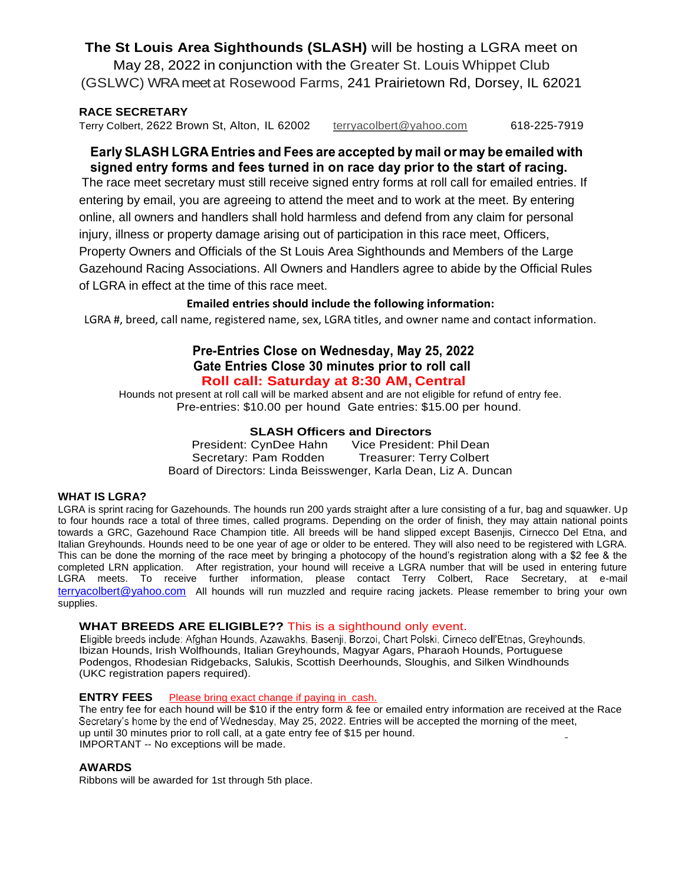**The St Louis Area Sighthounds (SLASH)** will be hosting a LGRA meet on May 28, 2022 in conjunction with the Greater St. Louis Whippet Club (GSLWC) WRA meet at Rosewood Farms, 241 Prairietown Rd, Dorsey, IL 62021

#### **RACE SECRETARY**

Terry Colbert, 2622 Brown St, Alton, IL 62002 [terryacolbert@yahoo.com](mailto:terryacolbert@yahoo.com) 618-225-7919

### **Early SLASH LGRAEntries and Fees are accepted bymail or may be emailedwith signed entry forms and fees turned in on race day prior to the start of racing.**

The race meet secretary must still receive signed entry forms at roll call for emailed entries. If entering by email, you are agreeing to attend the meet and to work at the meet. By entering online, all owners and handlers shall hold harmless and defend from any claim for personal injury, illness or property damage arising out of participation in this race meet, Officers, Property Owners and Officials of the St Louis Area Sighthounds and Members of the Large Gazehound Racing Associations. All Owners and Handlers agree to abide by the Official Rules of LGRA in effect at the time of this race meet.

#### **Emailed entries should include the following information:**

LGRA #, breed, call name, registered name, sex, LGRA titles, and owner name and contact information.

#### **Pre-Entries Close on Wednesday, May 25, 2022 Gate Entries Close 30 minutes prior to roll call Roll call: Saturday at 8:30 AM, Central**

Hounds not present at roll call will be marked absent and are not eligible for refund of entry fee. Pre-entries: \$10.00 per hound Gate entries: \$15.00 per hound.

#### **SLASH Officers and Directors**

President: CynDee Hahn Vice President: Phil Dean Secretary: Pam Rodden Treasurer: Terry Colbert Board of Directors: Linda Beisswenger, Karla Dean, Liz A. Duncan

#### **WHAT IS LGRA?**

LGRA is sprint racing for Gazehounds. The hounds run 200 yards straight after a lure consisting of a fur, bag and squawker. Up to four hounds race a total of three times, called programs. Depending on the order of finish, they may attain national points towards a GRC, Gazehound Race Champion title. All breeds will be hand slipped except Basenjis, Cirnecco Del Etna, and Italian Greyhounds. Hounds need to be one year of age or older to be entered. They will also need to be registered with LGRA. This can be done the morning of the race meet by bringing a photocopy of the hound's registration along with a \$2 fee & the completed LRN application. After registration, your hound will receive a LGRA number that will be used in entering future LGRA meets. To receive further information, please contact Terry Colbert, Race Secretary, at e-mail [terryacolbert@yahoo.com](mailto:terryacolbert@yahoo.com) All hounds will run muzzled and require racing jackets. Please remember to bring your own supplies.

WHAT BREEDS ARE ELIGIBLE?? This is a sighthound only event.<br>Eligible breeds include: Afghan Hounds, Azawakhs, Basenji, Borzoi, Chart Polski, Cirneco dell'Etnas, Greyhounds, Ibizan Hounds, Irish Wolfhounds, Italian Greyhounds, Magyar Agars, Pharaoh Hounds, Portuguese Podengos, Rhodesian Ridgebacks, Salukis, Scottish Deerhounds, Sloughis, and Silken Windhounds (UKC registration papers required).

#### **ENTRY FEES** Please bring exact change if paying in cash.

The entry fee for each hound will be \$10 if the entry form & fee or emailed entry information are received at the Race Secretary's home by the end of Wednesday, May 25, 2022. Entries will be accepted the morning of the meet, up until 30 minutes prior to roll call, at a gate entry fee of \$15 per hound. IMPORTANT -- No exceptions will be made.

#### **AWARDS**

Ribbons will be awarded for 1st through 5th place.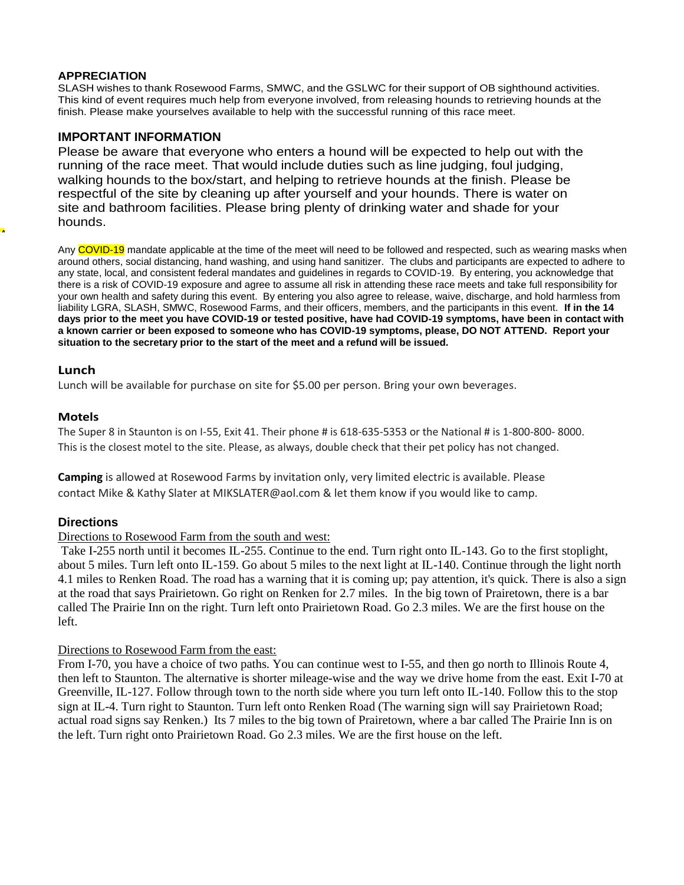#### **APPRECIATION**

SLASH wishes to thank Rosewood Farms, SMWC, and the GSLWC for their support of OB sighthound activities. This kind of event requires much help from everyone involved, from releasing hounds to retrieving hounds at the finish. Please make yourselves available to help with the successful running of this race meet.

#### **IMPORTANT INFORMATION**

Please be aware that everyone who enters a hound will be expected to help out with the running of the race meet. That would include duties such as line judging, foul judging, walking hounds to the box/start, and helping to retrieve hounds at the finish. Please be respectful of the site by cleaning up after yourself and your hounds. There is water on site and bathroom facilities. Please bring plenty of drinking water and shade for your hounds.

Any COVID-19 mandate applicable at the time of the meet will need to be followed and respected, such as wearing masks when around others, social distancing, hand washing, and using hand sanitizer. The clubs and participants are expected to adhere to any state, local, and consistent federal mandates and guidelines in regards to COVID-19. By entering, you acknowledge that there is a risk of COVID-19 exposure and agree to assume all risk in attending these race meets and take full responsibility for your own health and safety during this event. By entering you also agree to release, waive, discharge, and hold harmless from liability LGRA, SLASH, SMWC, Rosewood Farms, and their officers, members, and the participants in this event. **If in the 14 days prior to the meet you have COVID-19 or tested positive, have had COVID-19 symptoms, have been in contact with a known carrier or been exposed to someone who has COVID-19 symptoms, please, DO NOT ATTEND. Report your situation to the secretary prior to the start of the meet and a refund will be issued.**

#### **Lunch**

A

Lunch will be available for purchase on site for \$5.00 per person. Bring your own beverages.

#### **Motels**

The Super 8 in Staunton is on I-55, Exit 41. Their phone # is 618-635-5353 or the National # is 1-800-800- 8000. This is the closest motel to the site. Please, as always, double check that their pet policy has not changed.

**Camping** is allowed at Rosewood Farms by invitation only, very limited electric is available. Please contact Mike & Kathy Slater a[t MIKSLATER@aol.com &](mailto:MIKSLATER@aol.com) let them know if you would like to camp.

#### **Directions**

#### Directions to Rosewood Farm from the south and west:

Take I-255 north until it becomes IL-255. Continue to the end. Turn right onto IL-143. Go to the first stoplight, about 5 miles. Turn left onto IL-159. Go about 5 miles to the next light at IL-140. Continue through the light north 4.1 miles to Renken Road. The road has a warning that it is coming up; pay attention, it's quick. There is also a sign at the road that says Prairietown. Go right on Renken for 2.7 miles. In the big town of Prairetown, there is a bar called The Prairie Inn on the right. Turn left onto Prairietown Road. Go 2.3 miles. We are the first house on the left.

#### Directions to Rosewood Farm from the east:

From I-70, you have a choice of two paths. You can continue west to I-55, and then go north to Illinois Route 4, then left to Staunton. The alternative is shorter mileage-wise and the way we drive home from the east. Exit I-70 at Greenville, IL-127. Follow through town to the north side where you turn left onto IL-140. Follow this to the stop sign at IL-4. Turn right to Staunton. Turn left onto Renken Road (The warning sign will say Prairietown Road; actual road signs say Renken.) Its 7 miles to the big town of Prairetown, where a bar called The Prairie Inn is on the left. Turn right onto Prairietown Road. Go 2.3 miles. We are the first house on the left.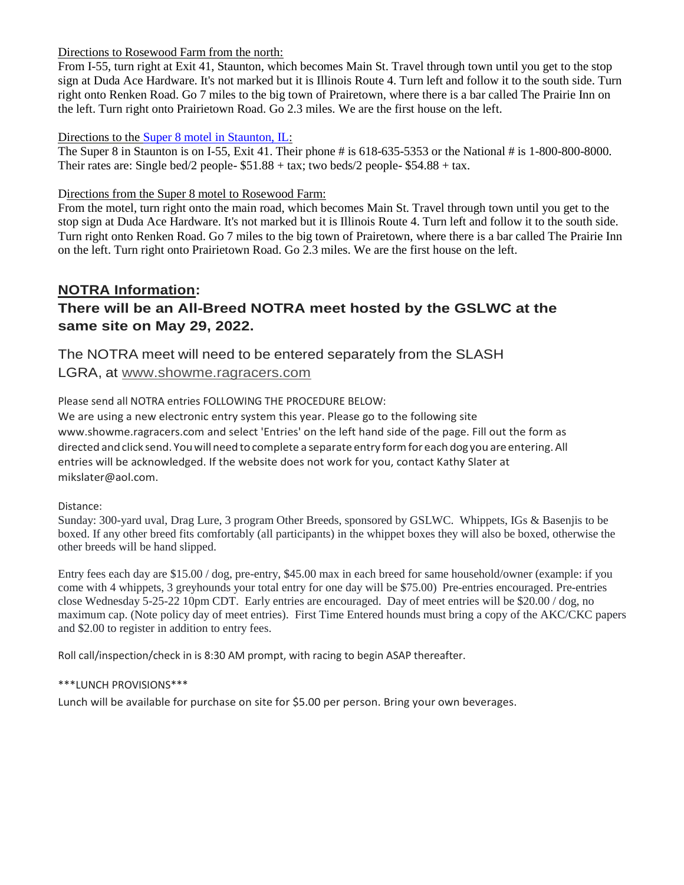#### Directions to Rosewood Farm from the north:

From I-55, turn right at Exit 41, Staunton, which becomes Main St. Travel through town until you get to the stop sign at Duda Ace Hardware. It's not marked but it is Illinois Route 4. Turn left and follow it to the south side. Turn right onto Renken Road. Go 7 miles to the big town of Prairetown, where there is a bar called The Prairie Inn on the left. Turn right onto Prairietown Road. Go 2.3 miles. We are the first house on the left.

#### Directions to the [Super 8 motel in Staunton, IL:](http://www.super8.com/Super8/control/Booking/check_avail?areaCode=&brandCode=SE,RA,DI,BU,MT,HJ,KG,TL,WG,WY,BH&searchWithinMiles=50&areaType=1&destination=staunton&state=IL&country=US&checkInDate=04/07&numberAdults=1&numberRooms=1&checkOutDate=04/08&numberChildren=0&numberBigChildren=0&rate=000&useWRPoints=false&corporateCode=&variant=&id=01841&propBrandId=SE&force_nostay=false&tab=tab1)

The Super 8 in Staunton is on I-55, Exit 41. Their phone # is 618-635-5353 or the National # is 1-800-800-8000. Their rates are: Single bed/2 people-  $$51.88 + tax$ ; two beds/2 people-  $$54.88 + tax$ .

#### Directions from the Super 8 motel to Rosewood Farm:

From the motel, turn right onto the main road, which becomes Main St. Travel through town until you get to the stop sign at Duda Ace Hardware. It's not marked but it is Illinois Route 4. Turn left and follow it to the south side. Turn right onto Renken Road. Go 7 miles to the big town of Prairetown, where there is a bar called The Prairie Inn on the left. Turn right onto Prairietown Road. Go 2.3 miles. We are the first house on the left.

# **NOTRA Information: There will be an All-Breed NOTRA meet hosted by the GSLWC at the same site on May 29, 2022.**

# The NOTRA meet will need to be entered separately from the SLASH LGRA, at [www.showme.ragracers.com](http://www.showme.ragracers.com/)

Please send all NOTRA entries FOLLOWING THE PROCEDURE BELOW:

We are using a new electronic entry system this year. Please go to the following site [www.showme.ragracers.com a](http://www.showme.ragracers.com/)nd select 'Entries' on the left hand side of the page. Fill out the form as directed and click send. You will need to complete a separate entry form for each dog you are entering. All entries will be acknowledged. If the website does not work for you, contact Kathy Slater at [mikslater@aol.com.](mailto:mikslater@aol.com)

#### Distance:

Sunday: 300-yard uval, Drag Lure, 3 program Other Breeds, sponsored by GSLWC. Whippets, IGs & Basenjis to be boxed. If any other breed fits comfortably (all participants) in the whippet boxes they will also be boxed, otherwise the other breeds will be hand slipped.

Entry fees each day are \$15.00 / dog, pre-entry, \$45.00 max in each breed for same household/owner (example: if you come with 4 whippets, 3 greyhounds your total entry for one day will be \$75.00) Pre-entries encouraged. Pre-entries close Wednesday 5-25-22 10pm CDT. Early entries are encouraged. Day of meet entries will be \$20.00 / dog, no maximum cap. (Note policy day of meet entries). First Time Entered hounds must bring a copy of the AKC/CKC papers and \$2.00 to register in addition to entry fees.

Roll call/inspection/check in is 8:30 AM prompt, with racing to begin ASAP thereafter.

#### \*\*\*LUNCH PROVISIONS\*\*\*

Lunch will be available for purchase on site for \$5.00 per person. Bring your own beverages.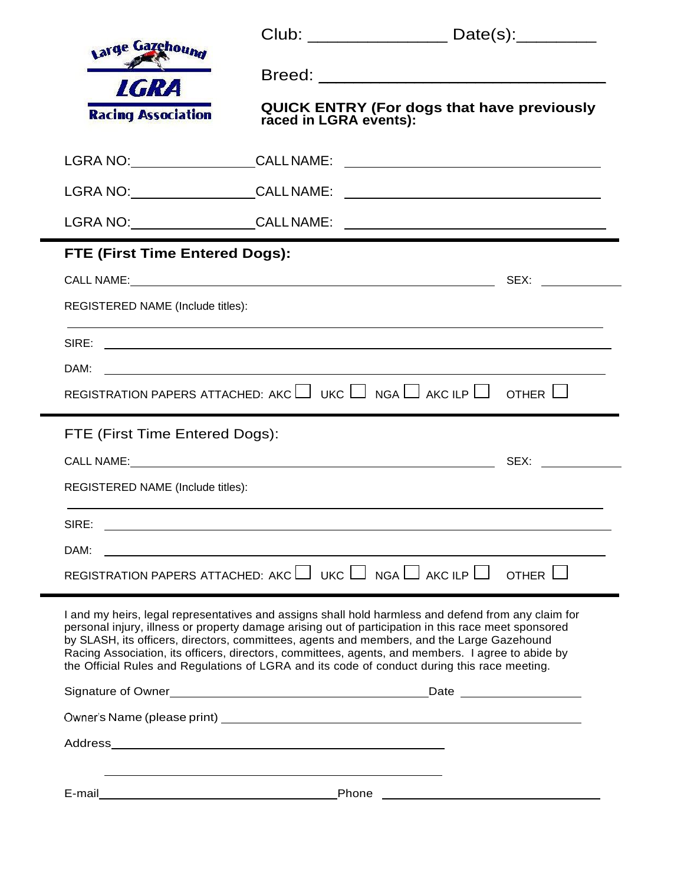| varge Gazehound                                                                                                      |       | Club: _________________________ Date(s):___________                                                                                                                                                                                                                                                                                                                                                                                                                                                            |  |
|----------------------------------------------------------------------------------------------------------------------|-------|----------------------------------------------------------------------------------------------------------------------------------------------------------------------------------------------------------------------------------------------------------------------------------------------------------------------------------------------------------------------------------------------------------------------------------------------------------------------------------------------------------------|--|
|                                                                                                                      |       |                                                                                                                                                                                                                                                                                                                                                                                                                                                                                                                |  |
| <b>LGRA</b><br><b>Racing Association</b>                                                                             |       | QUICK ENTRY (For dogs that have previously raced in LGRA events):                                                                                                                                                                                                                                                                                                                                                                                                                                              |  |
|                                                                                                                      |       |                                                                                                                                                                                                                                                                                                                                                                                                                                                                                                                |  |
|                                                                                                                      |       |                                                                                                                                                                                                                                                                                                                                                                                                                                                                                                                |  |
|                                                                                                                      |       |                                                                                                                                                                                                                                                                                                                                                                                                                                                                                                                |  |
| FTE (First Time Entered Dogs):                                                                                       |       |                                                                                                                                                                                                                                                                                                                                                                                                                                                                                                                |  |
|                                                                                                                      |       |                                                                                                                                                                                                                                                                                                                                                                                                                                                                                                                |  |
| REGISTERED NAME (Include titles):                                                                                    |       |                                                                                                                                                                                                                                                                                                                                                                                                                                                                                                                |  |
|                                                                                                                      |       |                                                                                                                                                                                                                                                                                                                                                                                                                                                                                                                |  |
|                                                                                                                      |       |                                                                                                                                                                                                                                                                                                                                                                                                                                                                                                                |  |
|                                                                                                                      |       | REGISTRATION PAPERS ATTACHED: AKC $\Box$ UKC $\Box$ NGA $\Box$ AKC ILP $\Box$ OTHER $\Box$                                                                                                                                                                                                                                                                                                                                                                                                                     |  |
| FTE (First Time Entered Dogs):                                                                                       |       |                                                                                                                                                                                                                                                                                                                                                                                                                                                                                                                |  |
|                                                                                                                      |       |                                                                                                                                                                                                                                                                                                                                                                                                                                                                                                                |  |
| REGISTERED NAME (Include titles):                                                                                    |       |                                                                                                                                                                                                                                                                                                                                                                                                                                                                                                                |  |
| SIRE:                                                                                                                |       |                                                                                                                                                                                                                                                                                                                                                                                                                                                                                                                |  |
| DAM:                                                                                                                 |       |                                                                                                                                                                                                                                                                                                                                                                                                                                                                                                                |  |
| REGISTRATION PAPERS ATTACHED: AKC $\Box$ UKC $\Box$ NGA $\Box$ AKC ILP $\Box$<br>OTHER $\Box$                        |       |                                                                                                                                                                                                                                                                                                                                                                                                                                                                                                                |  |
|                                                                                                                      |       | I and my heirs, legal representatives and assigns shall hold harmless and defend from any claim for<br>personal injury, illness or property damage arising out of participation in this race meet sponsored<br>by SLASH, its officers, directors, committees, agents and members, and the Large Gazehound<br>Racing Association, its officers, directors, committees, agents, and members. I agree to abide by<br>the Official Rules and Regulations of LGRA and its code of conduct during this race meeting. |  |
|                                                                                                                      |       |                                                                                                                                                                                                                                                                                                                                                                                                                                                                                                                |  |
|                                                                                                                      |       |                                                                                                                                                                                                                                                                                                                                                                                                                                                                                                                |  |
|                                                                                                                      |       |                                                                                                                                                                                                                                                                                                                                                                                                                                                                                                                |  |
| E-mail                                                                                                               | Phone |                                                                                                                                                                                                                                                                                                                                                                                                                                                                                                                |  |
| <u> Andreas Andreas Andreas Andreas Andreas Andreas Andreas Andreas Andreas Andreas Andreas Andreas Andreas Andr</u> |       | <u> 1989 - Andrea Stadt Britain, amerikansk politiker (</u>                                                                                                                                                                                                                                                                                                                                                                                                                                                    |  |